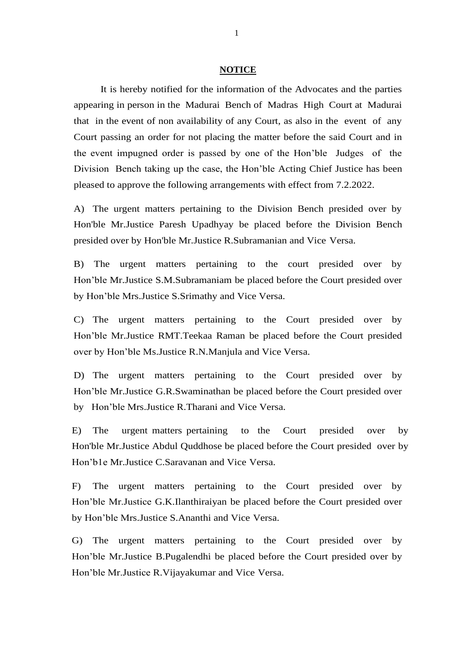## **NOTICE**

It is hereby notified for the information of the Advocates and the parties appearing in person in the Madurai Bench of Madras High Court at Madurai that in the event of non availability of any Court, as also in the event of any Court passing an order for not placing the matter before the said Court and in the event impugned order is passed by one of the Hon'ble Judges of the Division Bench taking up the case, the Hon'ble Acting Chief Justice has been pleased to approve the following arrangements with effect from 7.2.2022.

A) The urgent matters pertaining to the Division Bench presided over by Hon'ble Mr.Justice Paresh Upadhyay be placed before the Division Bench presided over by Hon'ble Mr.Justice R.Subramanian and Vice Versa.

B) The urgent matters pertaining to the court presided over by Hon'ble Mr.Justice S.M.Subramaniam be placed before the Court presided over by Hon'ble Mrs.Justice S.Srimathy and Vice Versa.

C) The urgent matters pertaining to the Court presided over by Hon'ble Mr.Justice RMT.Teekaa Raman be placed before the Court presided over by Hon'ble Ms.Justice R.N.Manjula and Vice Versa.

D) The urgent matters pertaining to the Court presided over by Hon'ble Mr.Justice G.R.Swaminathan be placed before the Court presided over by Hon'ble Mrs.Justice R.Tharani and Vice Versa.

E) The urgent matters pertaining to the Court presided over by Hon'ble Mr.Justice Abdul Quddhose be placed before the Court presided over by Hon'b1e Mr.Justice C.Saravanan and Vice Versa.

F) The urgent matters pertaining to the Court presided over by Hon'ble Mr.Justice G.K.Ilanthiraiyan be placed before the Court presided over by Hon'ble Mrs.Justice S.Ananthi and Vice Versa.

G) The urgent matters pertaining to the Court presided over by Hon'ble Mr.Justice B.Pugalendhi be placed before the Court presided over by Hon'ble Mr.Justice R.Vijayakumar and Vice Versa.